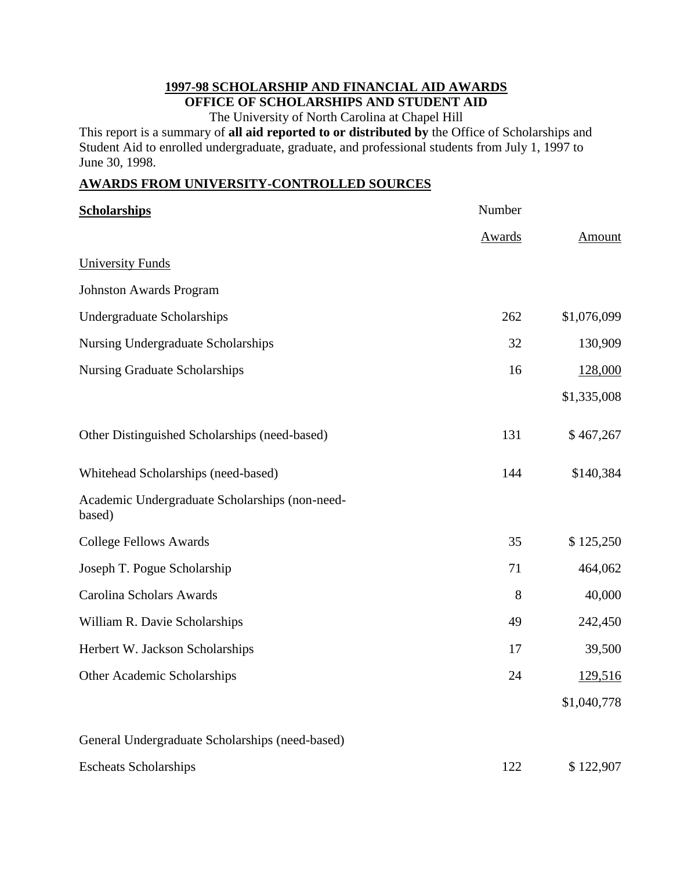#### **1997-98 SCHOLARSHIP AND FINANCIAL AID AWARDS OFFICE OF SCHOLARSHIPS AND STUDENT AID**

The University of North Carolina at Chapel Hill

This report is a summary of **all aid reported to or distributed by** the Office of Scholarships and Student Aid to enrolled undergraduate, graduate, and professional students from July 1, 1997 to June 30, 1998.

### **AWARDS FROM UNIVERSITY-CONTROLLED SOURCES**

| <b>Scholarships</b>                                      | Number        |             |
|----------------------------------------------------------|---------------|-------------|
|                                                          | <b>Awards</b> | Amount      |
| <b>University Funds</b>                                  |               |             |
| <b>Johnston Awards Program</b>                           |               |             |
| <b>Undergraduate Scholarships</b>                        | 262           | \$1,076,099 |
| <b>Nursing Undergraduate Scholarships</b>                | 32            | 130,909     |
| <b>Nursing Graduate Scholarships</b>                     | 16            | 128,000     |
|                                                          |               | \$1,335,008 |
| Other Distinguished Scholarships (need-based)            | 131           | \$467,267   |
| Whitehead Scholarships (need-based)                      | 144           | \$140,384   |
| Academic Undergraduate Scholarships (non-need-<br>based) |               |             |
| <b>College Fellows Awards</b>                            | 35            | \$125,250   |
| Joseph T. Pogue Scholarship                              | 71            | 464,062     |
| Carolina Scholars Awards                                 | 8             | 40,000      |
| William R. Davie Scholarships                            | 49            | 242,450     |
| Herbert W. Jackson Scholarships                          | 17            | 39,500      |
| Other Academic Scholarships                              | 24            | 129,516     |
|                                                          |               | \$1,040,778 |
| General Undergraduate Scholarships (need-based)          |               |             |
| <b>Escheats Scholarships</b>                             | 122           | \$122,907   |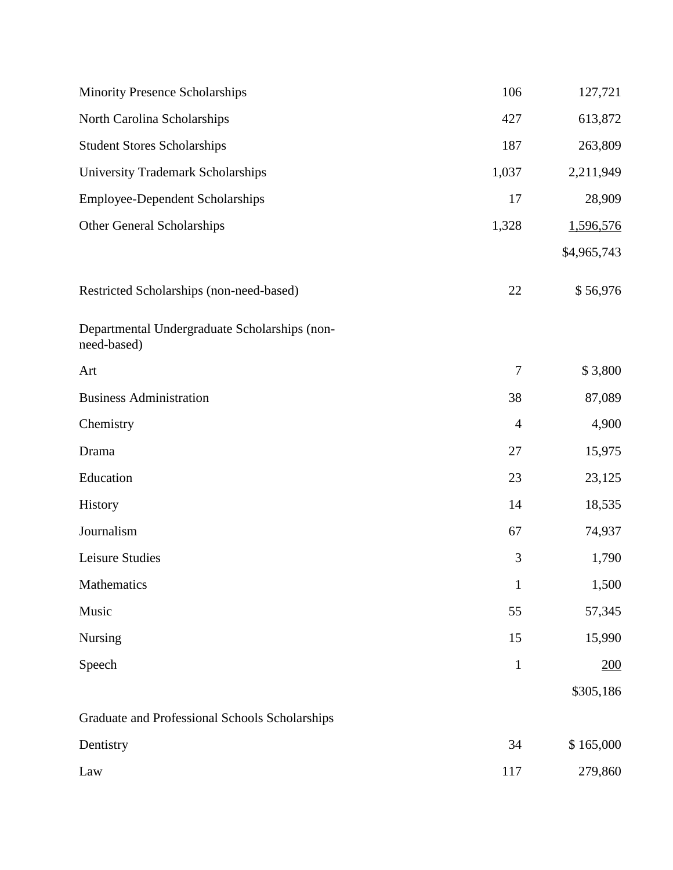| <b>Minority Presence Scholarships</b>                        | 106            | 127,721     |
|--------------------------------------------------------------|----------------|-------------|
| North Carolina Scholarships                                  | 427            | 613,872     |
| <b>Student Stores Scholarships</b>                           | 187            | 263,809     |
| <b>University Trademark Scholarships</b>                     | 1,037          | 2,211,949   |
| <b>Employee-Dependent Scholarships</b>                       | 17             | 28,909      |
| <b>Other General Scholarships</b>                            | 1,328          | 1,596,576   |
|                                                              |                | \$4,965,743 |
| Restricted Scholarships (non-need-based)                     | 22             | \$56,976    |
| Departmental Undergraduate Scholarships (non-<br>need-based) |                |             |
| Art                                                          | 7              | \$3,800     |
| <b>Business Administration</b>                               | 38             | 87,089      |
| Chemistry                                                    | $\overline{4}$ | 4,900       |
| Drama                                                        | 27             | 15,975      |
| Education                                                    | 23             | 23,125      |
| History                                                      | 14             | 18,535      |
| Journalism                                                   | 67             | 74,937      |
| Leisure Studies                                              | 3              | 1,790       |
| Mathematics                                                  | $\mathbf{1}$   | 1,500       |
| Music                                                        | 55             | 57,345      |
| Nursing                                                      | 15             | 15,990      |
| Speech                                                       | $\mathbf{1}$   | 200         |
|                                                              |                | \$305,186   |
| Graduate and Professional Schools Scholarships               |                |             |
| Dentistry                                                    | 34             | \$165,000   |
| Law                                                          | 117            | 279,860     |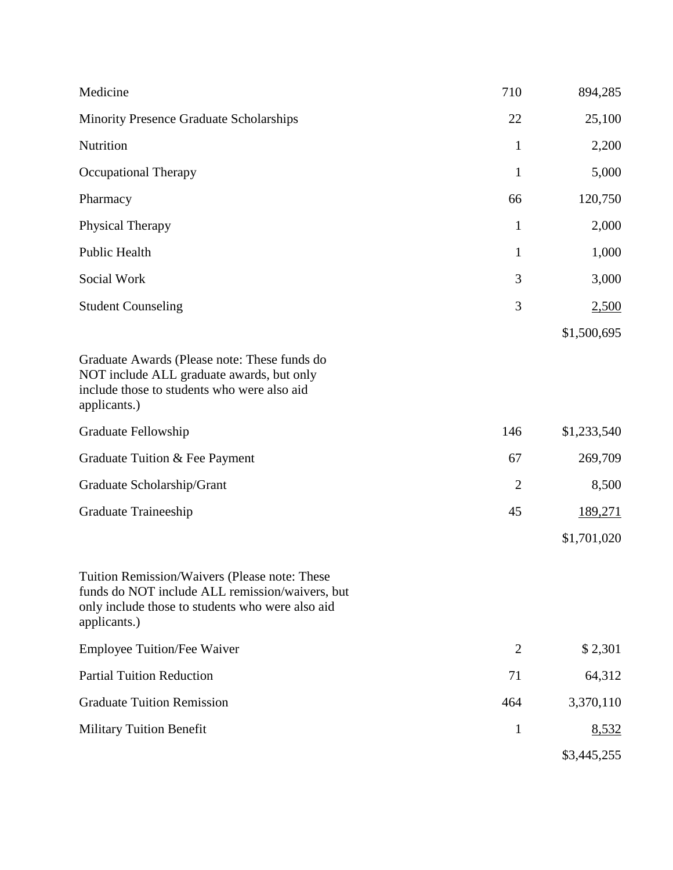| Medicine                                                                                                                                                             | 710            | 894,285     |
|----------------------------------------------------------------------------------------------------------------------------------------------------------------------|----------------|-------------|
| Minority Presence Graduate Scholarships                                                                                                                              | 22             | 25,100      |
| Nutrition                                                                                                                                                            | $\mathbf{1}$   | 2,200       |
| <b>Occupational Therapy</b>                                                                                                                                          | $\mathbf{1}$   | 5,000       |
| Pharmacy                                                                                                                                                             | 66             | 120,750     |
| <b>Physical Therapy</b>                                                                                                                                              | $\mathbf{1}$   | 2,000       |
| Public Health                                                                                                                                                        | $\mathbf{1}$   | 1,000       |
| Social Work                                                                                                                                                          | 3              | 3,000       |
| <b>Student Counseling</b>                                                                                                                                            | 3              | 2,500       |
|                                                                                                                                                                      |                | \$1,500,695 |
| Graduate Awards (Please note: These funds do<br>NOT include ALL graduate awards, but only<br>include those to students who were also aid<br>applicants.)             |                |             |
| Graduate Fellowship                                                                                                                                                  | 146            | \$1,233,540 |
| Graduate Tuition & Fee Payment                                                                                                                                       | 67             | 269,709     |
| Graduate Scholarship/Grant                                                                                                                                           | $\overline{2}$ | 8,500       |
| Graduate Traineeship                                                                                                                                                 | 45             | 189,271     |
|                                                                                                                                                                      |                | \$1,701,020 |
| Tuition Remission/Waivers (Please note: These<br>funds do NOT include ALL remission/waivers, but<br>only include those to students who were also aid<br>applicants.) |                |             |
| Employee Tuition/Fee Waiver                                                                                                                                          | $\overline{2}$ | \$2,301     |
| <b>Partial Tuition Reduction</b>                                                                                                                                     | 71             | 64,312      |
| <b>Graduate Tuition Remission</b>                                                                                                                                    | 464            | 3,370,110   |
| <b>Military Tuition Benefit</b>                                                                                                                                      | $\mathbf{1}$   | 8,532       |
|                                                                                                                                                                      |                | \$3,445,255 |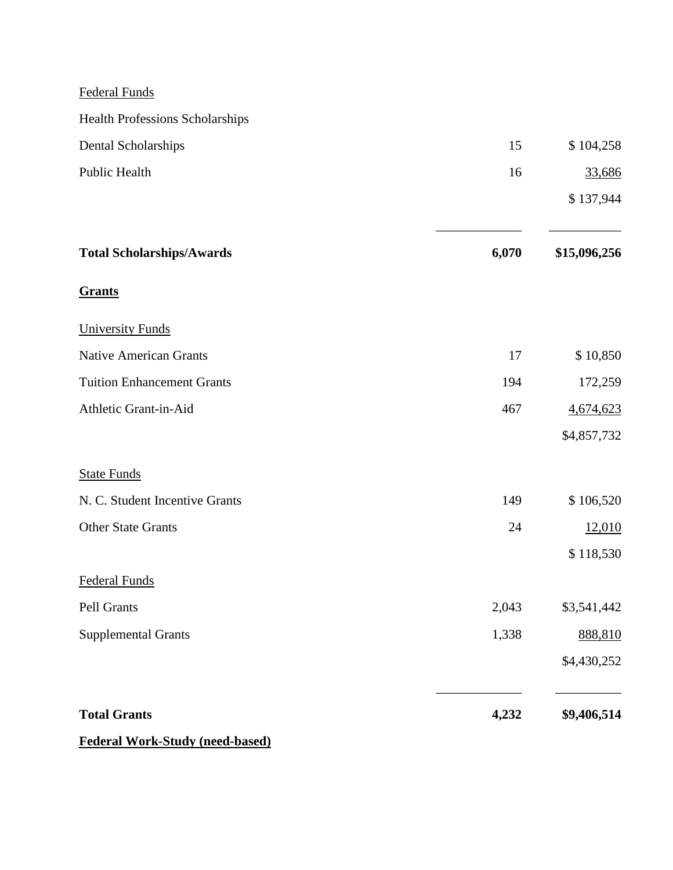Federal Funds

| <b>Health Professions Scholarships</b> |       |              |
|----------------------------------------|-------|--------------|
| Dental Scholarships                    | 15    | \$104,258    |
| Public Health                          | 16    | 33,686       |
|                                        |       | \$137,944    |
| <b>Total Scholarships/Awards</b>       | 6,070 | \$15,096,256 |
| <b>Grants</b>                          |       |              |
| <b>University Funds</b>                |       |              |
| <b>Native American Grants</b>          | 17    | \$10,850     |
| <b>Tuition Enhancement Grants</b>      | 194   | 172,259      |
| Athletic Grant-in-Aid                  | 467   | 4,674,623    |
|                                        |       | \$4,857,732  |
| <b>State Funds</b>                     |       |              |
| N. C. Student Incentive Grants         | 149   | \$106,520    |
| <b>Other State Grants</b>              | 24    | 12,010       |
|                                        |       | \$118,530    |
| <b>Federal Funds</b>                   |       |              |
| Pell Grants                            | 2,043 | \$3,541,442  |
| <b>Supplemental Grants</b>             | 1,338 | 888,810      |
|                                        |       | \$4,430,252  |
| <b>Total Grants</b>                    | 4,232 | \$9,406,514  |
|                                        |       |              |

**Federal Work-Study (need-based)**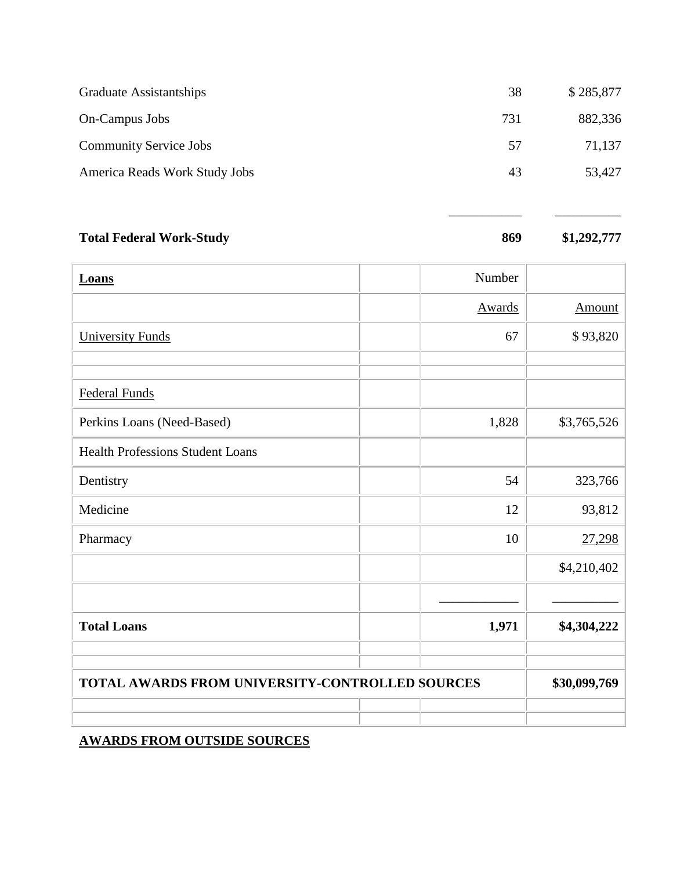| Graduate Assistantships       | 38  | \$285,877 |
|-------------------------------|-----|-----------|
| On-Campus Jobs                | 731 | 882,336   |
| <b>Community Service Jobs</b> | 57  | 71,137    |
| America Reads Work Study Jobs | 43  | 53,427    |
|                               |     |           |

| <b>Total Federal Work-Study</b> | 869 | \$1,292,777 |
|---------------------------------|-----|-------------|
|                                 |     |             |

\_\_\_\_\_\_\_\_\_\_\_ \_\_\_\_\_\_\_\_\_\_

| <b>Loans</b>                                    | Number |              |
|-------------------------------------------------|--------|--------------|
|                                                 | Awards | Amount       |
| <b>University Funds</b>                         | 67     | \$93,820     |
|                                                 |        |              |
| <b>Federal Funds</b>                            |        |              |
| Perkins Loans (Need-Based)                      | 1,828  | \$3,765,526  |
| <b>Health Professions Student Loans</b>         |        |              |
| Dentistry                                       | 54     | 323,766      |
| Medicine                                        | 12     | 93,812       |
| Pharmacy                                        | 10     | 27,298       |
|                                                 |        | \$4,210,402  |
|                                                 |        |              |
| <b>Total Loans</b>                              | 1,971  | \$4,304,222  |
| TOTAL AWARDS FROM UNIVERSITY-CONTROLLED SOURCES |        | \$30,099,769 |
|                                                 |        |              |

# **AWARDS FROM OUTSIDE SOURCES**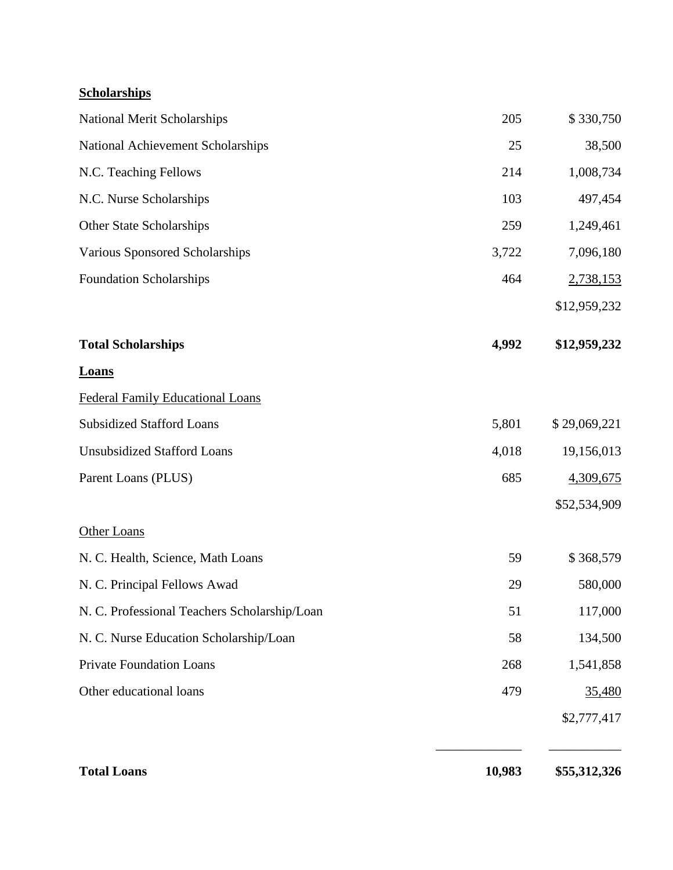# **Scholarships**

| National Merit Scholarships                  | 205    | \$330,750    |
|----------------------------------------------|--------|--------------|
| National Achievement Scholarships            | 25     | 38,500       |
| N.C. Teaching Fellows                        | 214    | 1,008,734    |
| N.C. Nurse Scholarships                      | 103    | 497,454      |
| Other State Scholarships                     | 259    | 1,249,461    |
| Various Sponsored Scholarships               | 3,722  | 7,096,180    |
| <b>Foundation Scholarships</b>               | 464    | 2,738,153    |
|                                              |        | \$12,959,232 |
| <b>Total Scholarships</b>                    | 4,992  | \$12,959,232 |
| <b>Loans</b>                                 |        |              |
| <b>Federal Family Educational Loans</b>      |        |              |
| <b>Subsidized Stafford Loans</b>             | 5,801  | \$29,069,221 |
| <b>Unsubsidized Stafford Loans</b>           | 4,018  | 19,156,013   |
| Parent Loans (PLUS)                          | 685    | 4,309,675    |
|                                              |        | \$52,534,909 |
| <b>Other Loans</b>                           |        |              |
| N. C. Health, Science, Math Loans            | 59     | \$368,579    |
| N. C. Principal Fellows Awad                 | 29     | 580,000      |
| N. C. Professional Teachers Scholarship/Loan | 51     | 117,000      |
| N. C. Nurse Education Scholarship/Loan       | 58     | 134,500      |
| <b>Private Foundation Loans</b>              | 268    | 1,541,858    |
| Other educational loans                      | 479    | 35,480       |
|                                              |        | \$2,777,417  |
| <b>Total Loans</b>                           | 10,983 | \$55,312,326 |